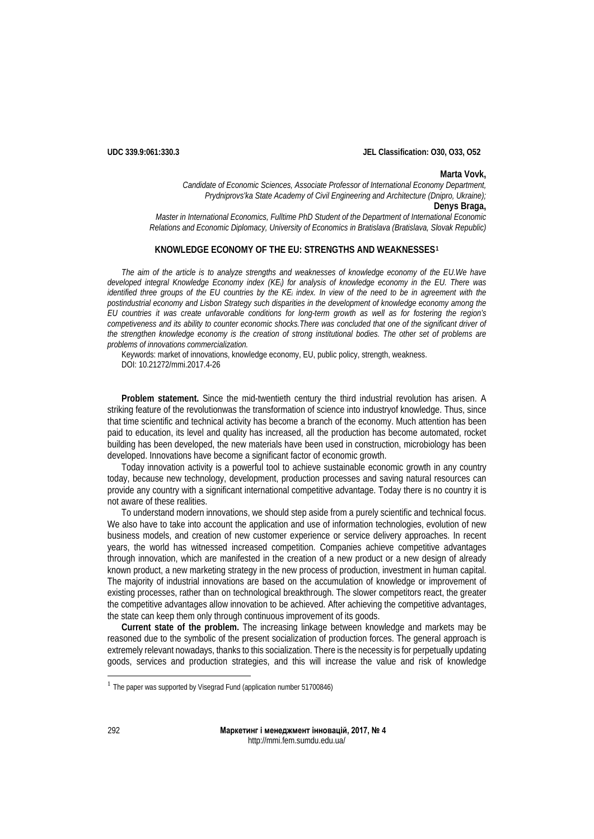**UDC 339.9:061:330.3 JEL Classification: O30, O33, O52**

**Marta Vovk,**

*Candidate of Economic Sciences, Associate Professor of International Economy Department, Prydniprovs'ka State Academy of Civil Engineering and Architecture (Dnipro, Ukraine);* **Denys Braga,** *Master in International Economics, Fulltime PhD Student of the Department of International Economic* 

*Relations and Economic Diplomacy, University of Economics in Bratislava (Bratislava, Slovak Republic)*

# **KNOWLEDGE ECONOMY OF THE EU: STRENGTHS AND WEAKNESSES[1](#page-0-0)**

*The aim of the article is to analyze strengths and weaknesses of knowledge economy of the EU.We have developed integral Knowledge Economy index (KEi) for analysis of knowledge economy in the EU. There was identified three groups of the EU countries by the KEi index. In view of the need to be in agreement with the postindustrial economy and Lisbon Strategy such disparities in the development of knowledge economy among the EU countries it was create unfavorable conditions for long-term growth as well as for fostering the region's competiveness and its ability to counter economic shocks.There was concluded that one of the significant driver of the strengthen knowledge economy is the creation of strong institutional bodies. The other set of problems are problems of innovations commercialization.* 

Keywords: market of innovations, knowledge economy, EU, public policy, strength, weakness. DOI: 10.21272/mmi.2017.4-26

**Problem statement.** Since the mid-twentieth century the third industrial revolution has arisen. A striking feature of the revolutionwas the transformation of science into industryof knowledge. Thus, since that time scientific and technical activity has become a branch of the economy. Much attention has been paid to education, its level and quality has increased, all the production has become automated, rocket building has been developed, the new materials have been used in construction, microbiology has been developed. Innovations have become a significant factor of economic growth.

Today innovation activity is a powerful tool to achieve sustainable economic growth in any country today, because new technology, development, production processes and saving natural resources can provide any country with a significant international competitive advantage. Today there is no country it is not aware of these realities.

To understand modern innovations, we should step aside from a purely scientific and technical focus. We also have to take into account the application and use of information technologies, evolution of new business models, and creation of new customer experience or service delivery approaches. In recent years, the world has witnessed increased competition. Companies achieve competitive advantages through innovation, which are manifested in the creation of a new product or a new design of already known product, a new marketing strategy in the new process of production, investment in human capital. The majority of industrial innovations are based on the accumulation of knowledge or improvement of existing processes, rather than on technological breakthrough. The slower competitors react, the greater the competitive advantages allow innovation to be achieved. After achieving the competitive advantages, the state can keep them only through continuous improvement of its goods.

**Current state of the problem.** The increasing linkage between knowledge and markets may be reasoned due to the symbolic of the present socialization of production forces. The general approach is extremely relevant nowadays, thanks to this socialization. There is the necessity is for perpetually updating goods, services and production strategies, and this will increase the value and risk of knowledge

<span id="page-0-0"></span><sup>&</sup>lt;sup>1</sup> The paper was supported by Visegrad Fund (application number 51700846)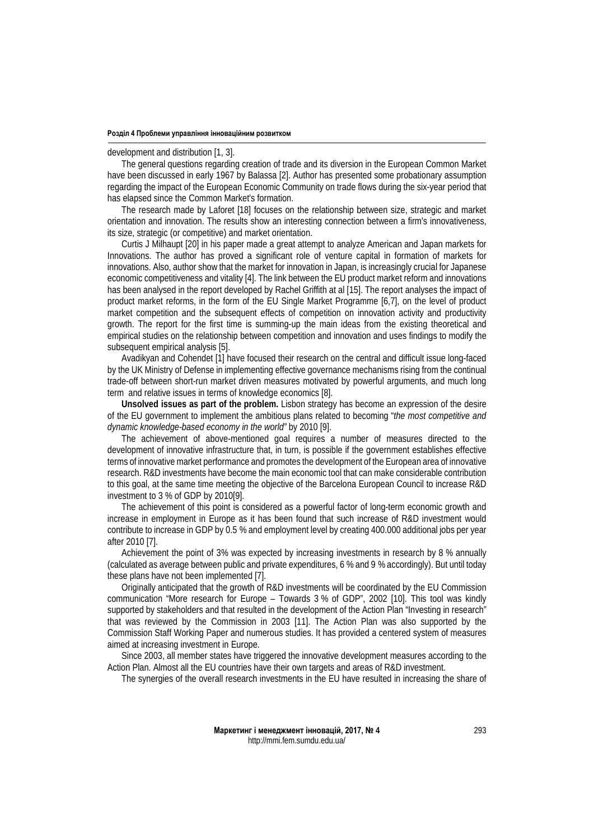#### development and distribution [1, 3].

The general questions regarding creation of trade and its diversion in the European Common Market have been discussed in early 1967 by Balassa [2]. Author has presented some probationary assumption regarding the impact of the European Economic Community on trade flows during the six-year period that has elapsed since the Common Market's formation.

The research made by Laforet [18] focuses on the relationship between size, strategic and market orientation and innovation. The results show an interesting connection between a firm's innovativeness, its size, strategic (or competitive) and market orientation.

Curtis J Milhaupt [20] in his paper made a great attempt to analyze American and Japan markets for Innovations. The author has proved a significant role of venture capital in formation of markets for innovations. Also, author show that the market for innovation in Japan, is increasingly crucial for Japanese economic competitiveness and vitality [4]. The link between the EU product market reform and innovations has been analysed in the report developed by Rachel Griffith at al [15]. The report analyses the impact of product market reforms, in the form of the EU Single Market Programme [6,7], on the level of product market competition and the subsequent effects of competition on innovation activity and productivity growth. The report for the first time is summing-up the main ideas from the existing theoretical and empirical studies on the relationship between competition and innovation and uses findings to modify the subsequent empirical analysis [5].

Avadikyan and Cohendet [1] have focused their research on the central and difficult issue long-faced by the UK Ministry of Defense in implementing effective governance mechanisms rising from the continual trade-off between short-run market driven measures motivated by powerful arguments, and much long term and relative issues in terms of knowledge economics [8].

**Unsolved issues as part of the problem.** Lisbon strategy has become an expression of the desire of the EU government to implement the ambitious plans related to becoming "*the most competitive and dynamic knowledge-based economy in the world"* by 2010 [9].

The achievement of above-mentioned goal requires a number of measures directed to the development of innovative infrastructure that, in turn, is possible if the government establishes effective terms of innovative market performance and promotes the development of the European area of innovative research. R&D investments have become the main economic tool that can make considerable contribution to this goal, at the same time meeting the objective of the Barcelona European Council to increase R&D investment to 3 % of GDP by 2010[9].

The achievement of this point is considered as a powerful factor of long-term economic growth and increase in employment in Europe as it has been found that such increase of R&D investment would contribute to increase in GDP by 0.5 % and employment level by creating 400.000 additional jobs per year after 2010 [7].

Achievement the point of 3% was expected by increasing investments in research by 8 % annually (calculated as average between public and private expenditures, 6 % and 9 % accordingly). But until today these plans have not been implemented [7].

Originally anticipated that the growth of R&D investments will be coordinated by the EU Commission communication "More research for Europe – Towards 3 % of GDP", 2002 [10]. This tool was kindly supported by stakeholders and that resulted in the development of the Action Plan "Investing in research" that was reviewed by the Commission in 2003 [11]. The Action Plan was also supported by the Commission Staff Working Paper and numerous studies. It has provided a centered system of measures aimed at increasing investment in Europe.

Since 2003, all member states have triggered the innovative development measures according to the Action Plan. Almost all the EU countries have their own targets and areas of R&D investment.

The synergies of the overall research investments in the EU have resulted in increasing the share of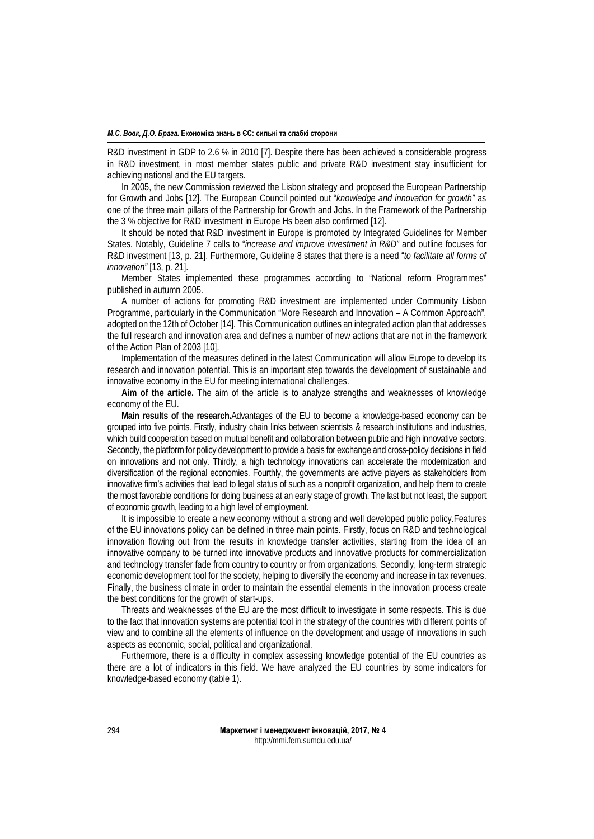#### *М.С. Вовк, Д.О. Брага.* **Економіка знань в ЄС: сильні та слабкі сторони**

R&D investment in GDP to 2.6 % in 2010 [7]. Despite there has been achieved a considerable progress in R&D investment, in most member states public and private R&D investment stay insufficient for achieving national and the EU targets.

In 2005, the new Commission reviewed the Lisbon strategy and proposed the European Partnership for Growth and Jobs [12]. The European Council pointed out "*knowledge and innovation for growth"* as one of the three main pillars of the Partnership for Growth and Jobs. In the Framework of the Partnership the 3 % objective for R&D investment in Europe Hs been also confirmed [12].

It should be noted that R&D investment in Europe is promoted by Integrated Guidelines for Member States. Notably, Guideline 7 calls to "*increase and improve investment in R&D"* and outline focuses for R&D investment [13, p. 21]. Furthermore, Guideline 8 states that there is a need "*to facilitate all forms of innovation"* [13, p. 21].

Member States implemented these programmes according to "National reform Programmes" published in autumn 2005.

A number of actions for promoting R&D investment are implemented under Community Lisbon Programme, particularly in the Communication "More Research and Innovation – A Common Approach", adopted on the 12th of October [14]. This Communication outlines an integrated action plan that addresses the full research and innovation area and defines a number of new actions that are not in the framework of the Action Plan of 2003 [10].

Implementation of the measures defined in the latest Communication will allow Europe to develop its research and innovation potential. This is an important step towards the development of sustainable and innovative economy in the EU for meeting international challenges.

**Aim of the article.** The aim of the article is to analyze strengths and weaknesses of knowledge economy of the EU.

**Main results of the research.**Advantages of the EU to become a knowledge-based economy can be grouped into five points. Firstly, industry chain links between scientists & research institutions and industries, which build cooperation based on mutual benefit and collaboration between public and high innovative sectors. Secondly, the platform for policy development to provide a basis for exchange and cross-policy decisions in field on innovations and not only. Thirdly, a high technology innovations can accelerate the modernization and diversification of the regional economies. Fourthly, the governments are active players as stakeholders from innovative firm's activities that lead to legal status of such as a nonprofit organization, and help them to create the most favorable conditions for doing business at an early stage of growth. The last but not least, the support of economic growth, leading to a high level of employment.

It is impossible to create a new economy without a strong and well developed public policy.Features of the EU innovations policy can be defined in three main points. Firstly, focus on R&D and technological innovation flowing out from the results in knowledge transfer activities, starting from the idea of an innovative company to be turned into innovative products and innovative products for commercialization and technology transfer fade from country to country or from organizations. Secondly, long-term strategic economic development tool for the society, helping to diversify the economy and increase in tax revenues. Finally, the business climate in order to maintain the essential elements in the innovation process create the best conditions for the growth of start-ups.

Threats and weaknesses of the EU are the most difficult to investigate in some respects. This is due to the fact that innovation systems are potential tool in the strategy of the countries with different points of view and to combine all the elements of influence on the development and usage of innovations in such aspects as economic, social, political and organizational.

Furthermore, there is a difficulty in complex assessing knowledge potential of the EU countries as there are a lot of indicators in this field. We have analyzed the EU countries by some indicators for knowledge-based economy (table 1).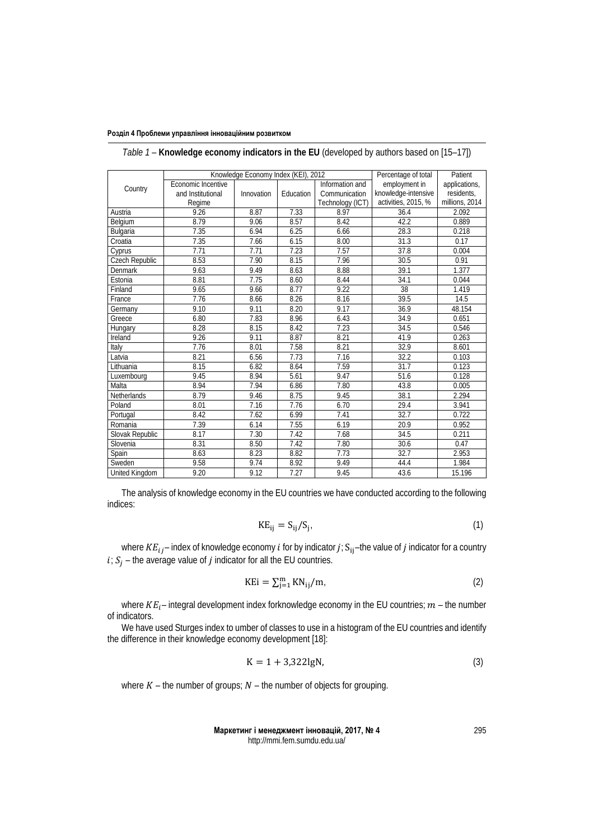|                       | Knowledge Economy Index (KEI), 2012 |            |           |                  | Percentage of total | Patient        |
|-----------------------|-------------------------------------|------------|-----------|------------------|---------------------|----------------|
|                       | Economic Incentive                  |            |           | Information and  | employment in       | applications,  |
| Country               | and Institutional                   | Innovation | Education | Communication    | knowledge-intensive | residents,     |
|                       | Regime                              |            |           | Technology (ICT) | activities, 2015, % | millions, 2014 |
| Austria               | 9.26                                | 8.87       | 7.33      | 8.97             | 36.4                | 2.092          |
| Belgium               | 8.79                                | 9.06       | 8.57      | 8.42             | 42.2                | 0.889          |
| Bulgaria              | 7.35                                | 6.94       | 6.25      | 6.66             | 28.3                | 0.218          |
| Croatia               | 7.35                                | 7.66       | 6.15      | 8.00             | 31.3                | 0.17           |
| Cyprus                | 7.71                                | 7.71       | 7.23      | 7.57             | 37.8                | 0.004          |
| <b>Czech Republic</b> | 8.53                                | 7.90       | 8.15      | 7.96             | 30.5                | 0.91           |
| Denmark               | 9.63                                | 9.49       | 8.63      | 8.88             | 39.1                | 1.377          |
| Estonia               | 8.81                                | 7.75       | 8.60      | 8.44             | 34.1                | 0.044          |
| Finland               | 9.65                                | 9.66       | 8.77      | 9.22             | 38                  | 1.419          |
| France                | 7.76                                | 8.66       | 8.26      | 8.16             | 39.5                | 14.5           |
| Germany               | 9.10                                | 9.11       | 8.20      | 9.17             | 36.9                | 48.154         |
| Greece                | 6.80                                | 7.83       | 8.96      | 6.43             | 34.9                | 0.651          |
| Hungary               | 8.28                                | 8.15       | 8.42      | 7.23             | 34.5                | 0.546          |
| Ireland               | 9.26                                | 9.11       | 8.87      | 8.21             | 41.9                | 0.263          |
| Italy                 | 7.76                                | 8.01       | 7.58      | 8.21             | 32.9                | 8.601          |
| Latvia                | 8.21                                | 6.56       | 7.73      | 7.16             | 32.2                | 0.103          |
| Lithuania             | 8.15                                | 6.82       | 8.64      | 7.59             | 31.7                | 0.123          |
| Luxembourg            | 9.45                                | 8.94       | 5.61      | 9.47             | 51.6                | 0.128          |
| Malta                 | 8.94                                | 7.94       | 6.86      | 7.80             | 43.8                | 0.005          |
| Netherlands           | 8.79                                | 9.46       | 8.75      | 9.45             | 38.1                | 2.294          |
| Poland                | 8.01                                | 7.16       | 7.76      | 6.70             | 29.4                | 3.941          |
| Portugal              | 8.42                                | 7.62       | 6.99      | 7.41             | 32.7                | 0.722          |
| Romania               | 7.39                                | 6.14       | 7.55      | 6.19             | 20.9                | 0.952          |
| Slovak Republic       | 8.17                                | 7.30       | 7.42      | 7.68             | 34.5                | 0.211          |
| Slovenia              | 8.31                                | 8.50       | 7.42      | 7.80             | 30.6                | 0.47           |
| Spain                 | 8.63                                | 8.23       | 8.82      | 7.73             | 32.7                | 2.953          |
| Sweden                | 9.58                                | 9.74       | 8.92      | 9.49             | 44.4                | 1.984          |
| United Kingdom        | 9.20                                | 9.12       | 7.27      | 9.45             | 43.6                | 15.196         |

*Table 1* – **Knowledge economy indicators in the EU** (developed by authors based on [15–17])

The analysis of knowledge economy in the EU countries we have conducted according to the following indices:

$$
KE_{ij} = S_{ij}/S_j. \tag{1}
$$

where  $KE_{ij}$  – index of knowledge economy *i* for by indicator  $j$ ;  $S_{ij}$  –the value of  $j$  indicator for a country  $i; S_j$  – the average value of *j* indicator for all the EU countries.

$$
KEi = \sum_{j=1}^{m} KN_{ij}/m,
$$
 (2)

where  $KE_i$  – integral development index forknowledge economy in the EU countries;  $m$  – the number of indicators.

We have used Sturges index to umber of classes to use in a histogram of the EU countries and identify the difference in their knowledge economy development [18]:

$$
K = 1 + 3,322 \text{lgN},\tag{3}
$$

where  $K$  – the number of groups;  $N$  – the number of objects for grouping.

**Маркетинг і менеджмент інновацій, 2017, № 4** http://mmi.fem.sumdu.edu.ua/

295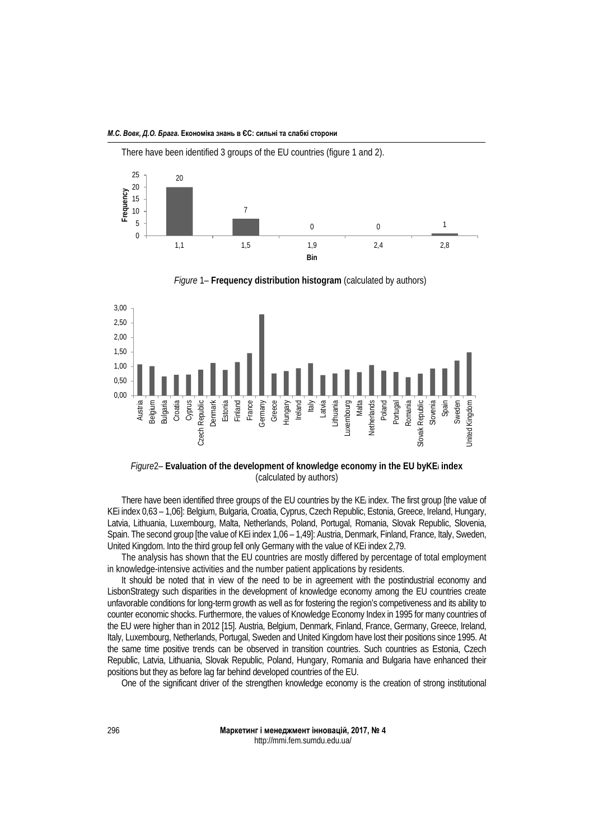

There have been identified 3 groups of the EU countries (figure 1 and 2).

*Figure* 1– **Frequency distribution histogram** (calculated by authors)



*Figure*2– **Evaluation of the development of knowledge economy in the EU byKEi index** (calculated by authors)

There have been identified three groups of the EU countries by the KEi index. The first group [the value of KEi index 0,63 – 1,06]: Belgium, Bulgaria, Croatia, Cyprus, Czech Republic, Estonia, Greece, Ireland, Hungary, Latvia, Lithuania, Luxembourg, Malta, Netherlands, Poland, Portugal, Romania, Slovak Republic, Slovenia, Spain. The second group [the value of KEi index 1,06 – 1,49]: Austria, Denmark, Finland, France, Italy, Sweden, United Kingdom. Into the third group fell only Germany with the value of KEi index 2,79.

The analysis has shown that the EU countries are mostly differed by percentage of total employment in knowledge-intensive activities and the number patient applications by residents.

It should be noted that in view of the need to be in agreement with the postindustrial economy and LisbonStrategy such disparities in the development of knowledge economy among the EU countries create unfavorable conditions for long-term growth as well as for fostering the region's competiveness and its ability to counter economic shocks. Furthermore, the values of Knowledge Economy Index in 1995 for many countries of the EU were higher than in 2012 [15]. Austria, Belgium, Denmark, Finland, France, Germany, Greece, Ireland, Italy, Luxembourg, Netherlands, Portugal, Sweden and United Kingdom have lost their positions since 1995. At the same time positive trends can be observed in transition countries. Such countries as Estonia, Czech Republic, Latvia, Lithuania, Slovak Republic, Poland, Hungary, Romania and Bulgaria have enhanced their positions but they as before lag far behind developed countries of the EU.

One of the significant driver of the strengthen knowledge economy is the creation of strong institutional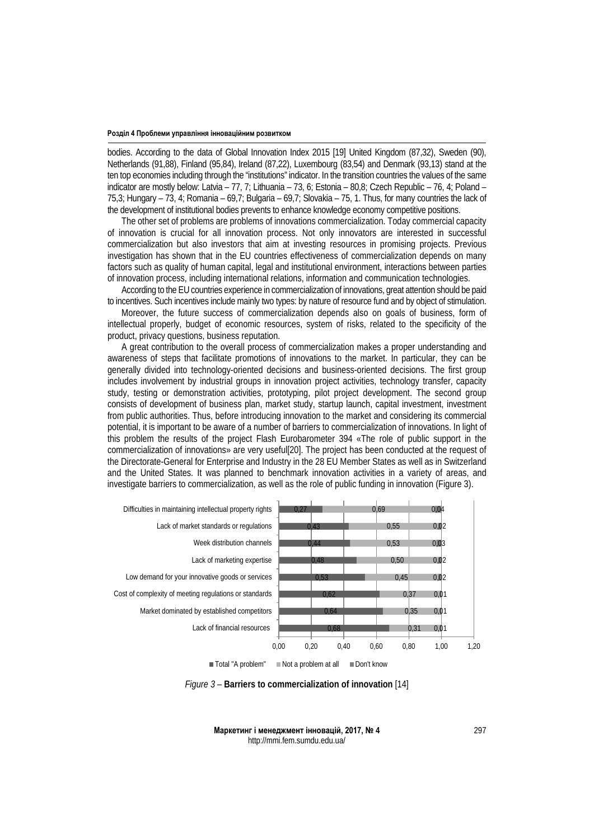bodies. According to the data of Global Innovation Index 2015 [19] United Kingdom (87,32), Sweden (90), Netherlands (91,88), Finland (95,84), Ireland (87,22), Luxembourg (83,54) and Denmark (93,13) stand at the ten top economies including through the "institutions" indicator. In the transition countries the values of the same indicator are mostly below: Latvia – 77, 7; Lithuania – 73, 6; Estonia – 80,8; Czech Republic – 76, 4; Poland – 75,3; Hungary – 73, 4; Romania – 69,7; Bulgaria – 69,7; Slovakia – 75, 1. Thus, for many countries the lack of the development of institutional bodies prevents to enhance knowledge economy competitive positions.

The other set of problems are problems of innovations commercialization. Today commercial capacity of innovation is crucial for all innovation process. Not only innovators are interested in successful commercialization but also investors that aim at investing resources in promising projects. Previous investigation has shown that in the EU countries effectiveness of commercialization depends on many factors such as quality of human capital, legal and institutional environment, interactions between parties of innovation process, including international relations, information and communication technologies.

According to the EU countries experience in commercialization of innovations, great attention should be paid to incentives. Such incentives include mainly two types: by nature of resource fund and by object of stimulation.

Moreover, the future success of commercialization depends also on goals of business, form of intellectual properly, budget of economic resources, system of risks, related to the specificity of the product, privacy questions, business reputation.

A great contribution to the overall process of commercialization makes a proper understanding and awareness of steps that facilitate promotions of innovations to the market. In particular, they can be generally divided into technology-oriented decisions and business-oriented decisions. The first group includes involvement by industrial groups in innovation project activities, technology transfer, capacity study, testing or demonstration activities, prototyping, pilot project development. The second group consists of development of business plan, market study, startup launch, capital investment, investment from public authorities. Thus, before introducing innovation to the market and considering its commercial potential, it is important to be aware of a number of barriers to commercialization of innovations. In light of this problem the results of the project Flash Eurobarometer 394 «The role of public support in the commercialization of innovations» are very useful[20]. The project has been conducted at the request of the Directorate-General for Enterprise and Industry in the 28 EU Member States as well as in Switzerland and the United States. It was planned to benchmark innovation activities in a variety of areas, and investigate barriers to commercialization, as well as the role of public funding in innovation (Figure 3).



*Figure 3* – **Barriers to commercialization of innovation** [14]

**Маркетинг і менеджмент інновацій, 2017, № 4** http://mmi.fem.sumdu.edu.ua/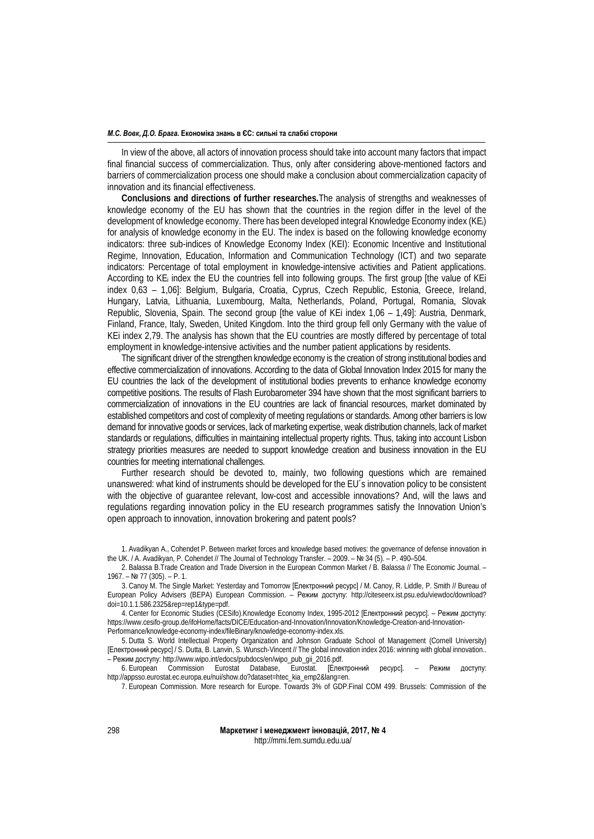## *М.С. Вовк, Д.О. Брага.* **Економіка знань в ЄС: сильні та слабкі сторони**

In view of the above, all actors of innovation process should take into account many factors that impact final financial success of commercialization. Thus, only after considering above-mentioned factors and barriers of commercialization process one should make a conclusion about commercialization capacity of innovation and its financial effectiveness.

**Conclusions and directions of further researches.**The analysis of strengths and weaknesses of knowledge economy of the EU has shown that the countries in the region differ in the level of the development of knowledge economy. There has been developed integral Knowledge Economy index (KEi) for analysis of knowledge economy in the EU. The index is based on the following knowledge economy indicators: three sub-indices of Knowledge Economy Index (KEI): Economic Incentive and Institutional Regime, Innovation, Education, Information and Communication Technology (ICT) and two separate indicators: Percentage of total employment in knowledge-intensive activities and Patient applications. According to KEi index the EU the countries fell into following groups. The first group [the value of KEi index 0,63 – 1,06]: Belgium, Bulgaria, Croatia, Cyprus, Czech Republic, Estonia, Greece, Ireland, Hungary, Latvia, Lithuania, Luxembourg, Malta, Netherlands, Poland, Portugal, Romania, Slovak Republic, Slovenia, Spain. The second group [the value of KEi index 1,06 – 1,49]: Austria, Denmark, Finland, France, Italy, Sweden, United Kingdom. Into the third group fell only Germany with the value of KEi index 2,79. The analysis has shown that the EU countries are mostly differed by percentage of total employment in knowledge-intensive activities and the number patient applications by residents.

The significant driver of the strengthen knowledge economy is the creation of strong institutional bodies and effective commercialization of innovations. According to the data of Global Innovation Index 2015 for many the EU countries the lack of the development of institutional bodies prevents to enhance knowledge economy competitive positions. The results of Flash Eurobarometer 394 have shown that the most significant barriers to commercialization of innovations in the EU countries are lack of financial resources, market dominated by established competitors and cost of complexity of meeting regulations or standards. Among other barriers is low demand for innovative goods or services, lack of marketing expertise, weak distribution channels, lack of market standards or regulations, difficulties in maintaining intellectual property rights. Thus, taking into account Lisbon strategy priorities measures are needed to support knowledge creation and business innovation in the EU countries for meeting international challenges.

Further research should be devoted to, mainly, two following questions which are remained unanswered: what kind of instruments should be developed for the EU´s innovation policy to be consistent with the objective of guarantee relevant, low-cost and accessible innovations? And, will the laws and regulations regarding innovation policy in the EU research programmes satisfy the Innovation Union's open approach to innovation, innovation brokering and patent pools?

4. Center for Economic Studies (CESifo).Knowledge Economy Index, 1995-2012 [Електронний ресурс]. – Режим доступу: https://www.cesifo-group.de/ifoHome/facts/DICE/Education-and-Innovation/Innovation/Knowledge-Creation-and-Innovation-Performance/knowledge-economy-index/fileBinary/knowledge-economy-index.xls.

5. Dutta S. World Intellectual Property Organization and Johnson Graduate School of Management (Cornell University) [Електронний ресурс] / S. Dutta, B. Lanvin, S. Wunsch-Vincent // The global innovation index 2016: winning with global innovation.. – Режим доступу: http://www.wipo.int/edocs/pubdocs/en/wipo\_pub\_gii\_2016.pdf.

6. European Commission Eurostat Database, Eurostat. [Електронний ресурс]. – Режим доступу: http://appsso.eurostat.ec.europa.eu/nui/show.do?dataset=htec\_kia\_emp2&lang=en.

7. European Commission. More research for Europe. Towards 3% of GDP.Final COM 499. Brussels: Commission of the

<sup>1.</sup> Avadikyan A., Cohendet P. Between market forces and knowledge based motives: the governance of defense innovation in the UK. / A. Avadikyan, P. Cohendet // The Journal of Technology Transfer. – 2009. – № 34 (5). – P. 490–504.

<sup>2.</sup> Balassa B.Trade Creation and Trade Diversion in the European Common Market / B. Balassa // The Economic Journal. – 1967. – № 77 (305). – P. 1.

<sup>3.</sup> Canoy M. The Single Market: Yesterday and Tomorrow [Електронний ресурс] / M. Canoy, R. Liddle, P. Smith // Bureau of European Policy Advisers (BEPA) European Commission. – Режим доступу: [http://citeseerx.ist.psu.edu/viewdoc/download?](http://citeseerx.ist.psu.edu/viewdoc/download?%20doi=10.1.1.586.2325&rep=rep1&type=pdf) [doi=10.1.1.586.2325&rep=rep1&type=pdf.](http://citeseerx.ist.psu.edu/viewdoc/download?%20doi=10.1.1.586.2325&rep=rep1&type=pdf)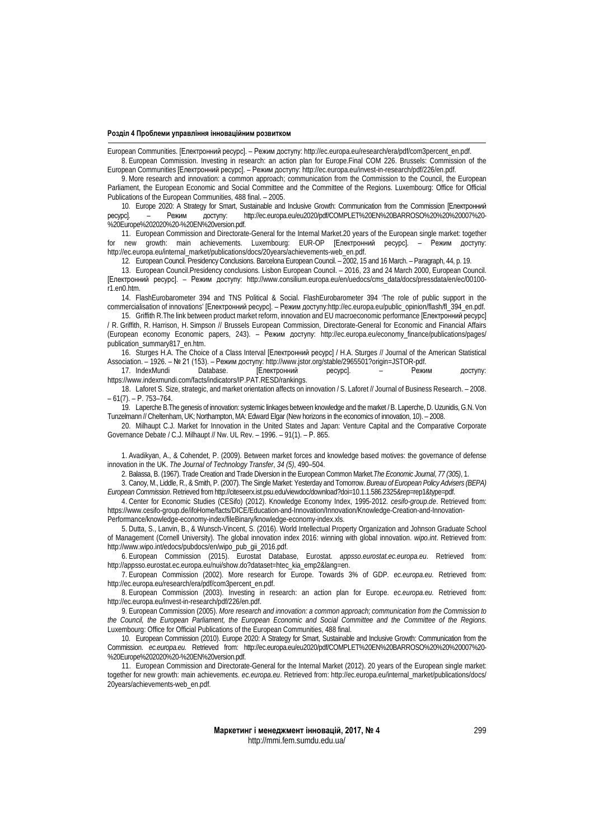European Communities. [Електронний ресурс]. – Режим доступу: http://ec.europa.eu/research/era/pdf/com3percent\_en.pdf.

8. European Commission. Investing in research: an action plan for Europe.Final COM 226. Brussels: Commission of the European Communities [Електронний ресурс]. – Режим доступу: http://ec.europa.eu/invest-in-research/pdf/226/en.pdf.

9. More research and innovation: a common approach; communication from the Commission to the Council, the European Parliament, the European Economic and Social Committee and the Committee of the Regions. Luxembourg: Office for Official Publications of the European Communities, 488 final. – 2005.

10. Europe 2020: A Strategy for Smart, Sustainable and Inclusive Growth: Communication from the Commission [Електронний ресурс]. - Режим доступу: http://ec.europa.eu/eu2020/pdf/COMPLET%20EN%20BARROSO%20%200620007%20http://ec.europa.eu/eu2020/pdf/COMPLET%20EN%20BARROSO%20%20%20007%20-%20Europe%202020%20-%20EN%20version.pdf.

11. European Commission and Directorate-General for the Internal Market.20 years of the European single market: together<br>new growth: main achievements. Luxembourg: EUR-OP [Електронний ресурс]. – Режим доступу: new growth: main achievements. Luxembourg: EUR-OP [Електронний ресурс]. http://ec.europa.eu/internal\_market/publications/docs/20years/achievements-web\_en.pdf.

12. European Council. Presidency Conclusions. Barcelona European Council. – 2002, 15 and 16 March. – Paragraph, 44, p. 19.

13. European Council.Presidency conclusions. Lisbon European Council. – 2016, 23 and 24 March 2000, European Council. [Електронний ресурс]. – Режим доступу: http://www.consilium.europa.eu/en/uedocs/cms\_data/docs/pressdata/en/ec/00100 r1.en0.htm.

14. FlashEurobarometer 394 and TNS Political & Social. FlashEurobarometer 394 'The role of public support in the commercialisation of innovations' [Електронний ресурс]. – Режим доступу:http://ec.europa.eu/public\_opinion/flash/fl\_394\_en.pdf.

15. Griffith R.The link between product market reform, innovation and EU macroeconomic performance [Електронний ресурс] / R. Griffith, R. Harrison, H. Simpson // Brussels European Commission, Directorate-General for Economic and Financial Affairs (European economy Economic papers, 243). – Режим доступу: [http://ec.europa.eu/economy\\_finance/publications/pages/](http://ec.europa.eu/economy_finance/publications/pages/) publication\_summary817\_en.htm.

16. Sturges H.A. The Choice of a Class Interval [Електронний ресурс] / H.A. Sturges // Journal of the American Statistical Association. – 1926. – № 21 (153). – Режим доступу: http://www.jstor.org/stable/2965501?origin=JSTOR-pdf.

[Електронний ресурс]. – Режим доступу: https://www.indexmundi.com/facts/indicators/IP.PAT.RESD/rankings.

18. Laforet S. Size, strategic, and market orientation affects on innovation / S. Laforet // Journal of Business Research. – 2008. – 61(7). – Р. 753–764.

19. Laperche B.The genesis of innovation: systemic linkages between knowledge and the market / B. Laperche, D. Uzunidis, G.N. Von Tunzelmann // Cheltenham, UK; Northampton, MA: Edward Elgar (New horizons in the economics of innovation, 10). – 2008.

20. Milhaupt C.J. Market for Innovation in the United States and Japan: Venture Capital and the Comparative Corporate Governance Debate / C.J. Milhaupt // Nw. UL Rev. – 1996. – 91(1). – Р. 865.

1. Avadikyan, A., & Cohendet, P. (2009). Between market forces and knowledge based motives: the governance of defense innovation in the UK. *The Journal of Technology Transfer*, *34 (5)*, 490–504.

2. Balassa, B. (1967). Trade Creation and Trade Diversion in the European Common Market.*The Economic Journal*, *77 (305)*, 1.

3. Canoy, M., Liddle, R., & Smith, P. (2007). The Single Market: Yesterday and Tomorrow. *Bureau of European Policy Advisers (BEPA) European Commission*. Retrieved fro[mhttp://citeseerx.ist.psu.edu/viewdoc/download?doi=10.1.1.586.2325&rep=rep1&type=pdf.](http://citeseerx.ist.psu.edu/viewdoc/download?doi=10.1.1.586.2325&rep=rep1&type=pdf)

4. Center for Economic Studies (CESifo) (2012). Knowledge Economy Index, 1995-2012*. cesifo-group.de*. Retrieved from: https://www.cesifo-group.de/ifoHome/facts/DICE/Education-and-Innovation/Innovation/Knowledge-Creation-and-Innovation-Performance/knowledge-economy-index/fileBinary/knowledge-economy-index.xls.

5. Dutta, S., Lanvin, B., & Wunsch-Vincent, S. (2016). World Intellectual Property Organization and Johnson Graduate School of Management (Cornell University). The global innovation index 2016: winning with global innovation. *wipo.int*. Retrieved from: http://www.wipo.int/edocs/pubdocs/en/wipo\_pub\_gii\_2016.pdf.

6. European Commission (2015). Eurostat Database, Eurostat. *appsso.eurostat.ec.europa.eu*. Retrieved from: http://appsso.eurostat.ec.europa.eu/nui/show.do?dataset=htec\_kia\_emp2&lang=en.

7. European Commission (2002). More research for Europe. Towards 3% of GDP*. ec.europa.eu.* Retrieved from: http://ec.europa.eu/research/era/pdf/com3percent\_en.pdf.

8. European Commission (2003). Investing in research: an action plan for Europe. *ec.europa.eu.* Retrieved from: http://ec.europa.eu/invest-in-research/pdf/226/en.pdf.

9. European Commission (2005). *More research and innovation: a common approach; communication from the Commission to the Council, the European Parliament, the European Economic and Social Committee and the Committee of the Regions*. Luxembourg: Office for Official Publications of the European Communities, 488 final.

10. European Commission (2010). Europe 2020: A Strategy for Smart, Sustainable and Inclusive Growth: Communication from the Commission. *ec.europa.eu*. Retrieved from: http://ec.europa.eu/eu2020/pdf/COMPLET%20EN%20BARROSO%20%20%20007%20- %20Europe%202020%20-%20EN%20version.pdf.

11. European Commission and Directorate-General for the Internal Market (2012). 20 years of the European single market: together for new growth: main achievements. *ec.europa.eu*. Retrieved from: [http://ec.europa.eu/internal\\_market/publications/docs/](http://ec.europa.eu/internal_market/publications/docs/) 20years/achievements-web\_en.pdf.